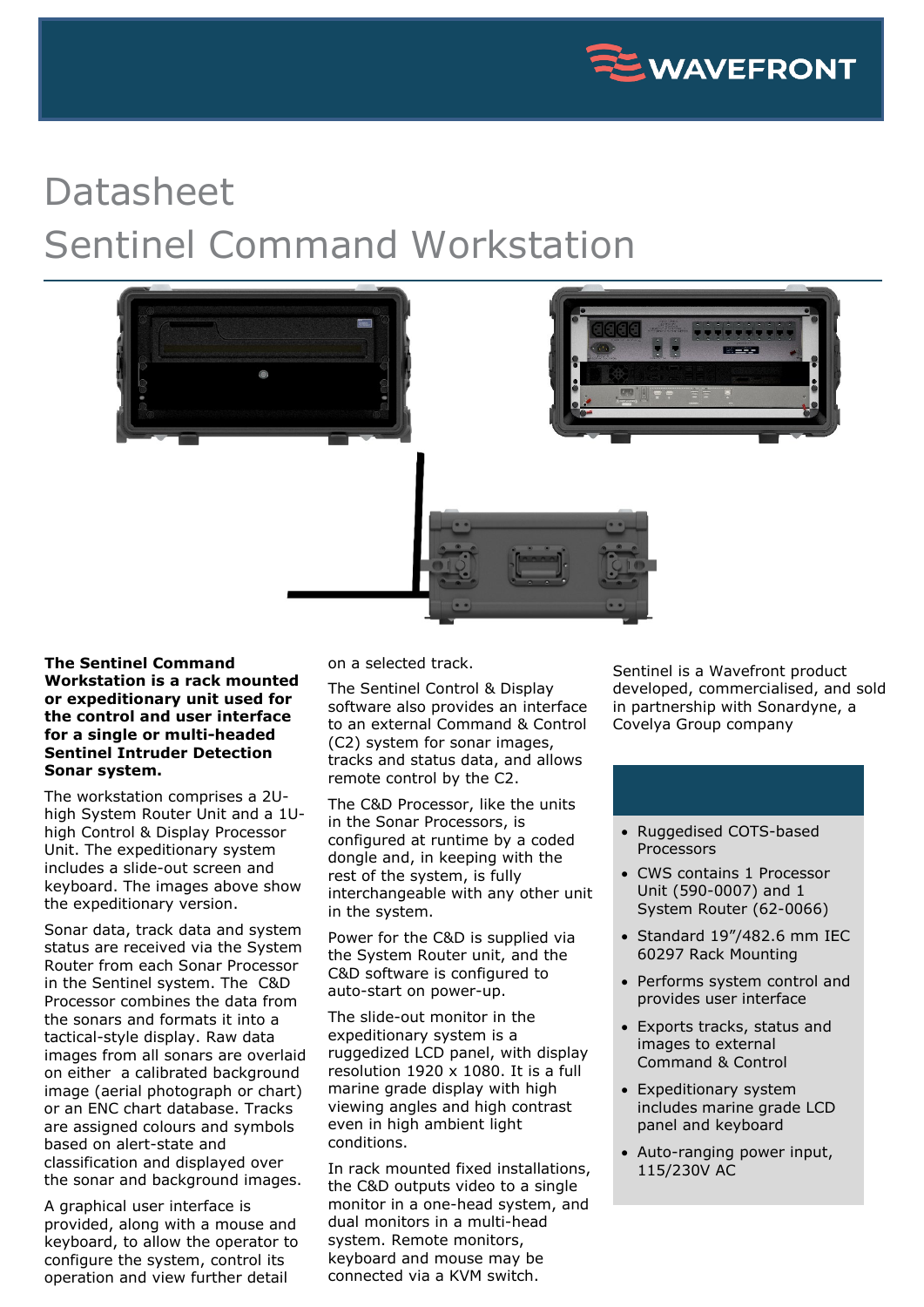

## Datasheet Sentinel Command Workstation



## **The Sentinel Command Workstation is a rack mounted or expeditionary unit used for the control and user interface for a single or multi-headed Sentinel Intruder Detection Sonar system.**

The workstation comprises a 2Uhigh System Router Unit and a 1Uhigh Control & Display Processor Unit. The expeditionary system includes a slide-out screen and keyboard. The images above show the expeditionary version.

Sonar data, track data and system status are received via the System Router from each Sonar Processor in the Sentinel system. The C&D Processor combines the data from the sonars and formats it into a tactical-style display. Raw data images from all sonars are overlaid on either a calibrated background image (aerial photograph or chart) or an ENC chart database. Tracks are assigned colours and symbols based on alert-state and classification and displayed over the sonar and background images.

A graphical user interface is provided, along with a mouse and keyboard, to allow the operator to configure the system, control its operation and view further detail

on a selected track.

The Sentinel Control & Display software also provides an interface to an external Command & Control (C2) system for sonar images, tracks and status data, and allows remote control by the C2.

The C&D Processor, like the units in the Sonar Processors, is configured at runtime by a coded dongle and, in keeping with the rest of the system, is fully interchangeable with any other unit in the system.

Power for the C&D is supplied via the System Router unit, and the C&D software is configured to auto-start on power-up.

The slide-out monitor in the expeditionary system is a ruggedized LCD panel, with display resolution 1920 x 1080. It is a full marine grade display with high viewing angles and high contrast even in high ambient light conditions.

In rack mounted fixed installations, the C&D outputs video to a single monitor in a one-head system, and dual monitors in a multi-head system. Remote monitors, keyboard and mouse may be connected via a KVM switch.

Sentinel is a Wavefront product developed, commercialised, and sold in partnership with Sonardyne, a Covelya Group company

- Ruggedised COTS-based Processors
- CWS contains 1 Processor Unit (590-0007) and 1 System Router (62-0066)
- Standard 19"/482.6 mm IEC 60297 Rack Mounting
- Performs system control and provides user interface
- Exports tracks, status and images to external Command & Control
- Expeditionary system includes marine grade LCD panel and keyboard
- Auto-ranging power input, 115/230V AC